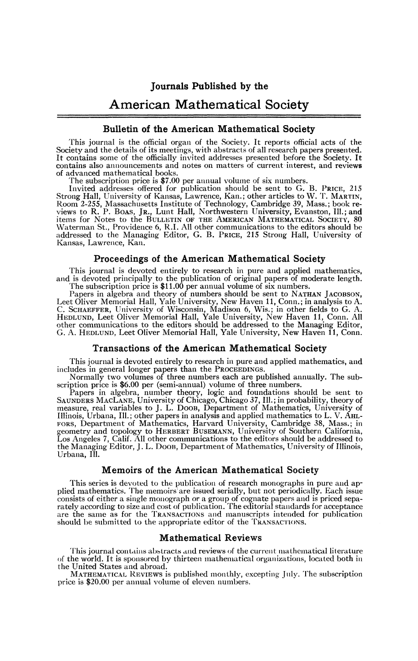# American Mathematical Society

# **Bulletin of the American Mathematical Society**

This journal is the official organ of the Society. It reports official acts of the Society and the details of its meetings, with abstracts of all research papers presented.<br>It contains some of the officially invited addresses presented before the Society. It contains also announcements and notes on matters of current interest, and reviews of advanced mathematical books.

The subscription price is \$7.00 per annual volume of six numbers.

Invited addresses offered for publication should be sent to G. B. PRICE, 215<br>Strong Hall, University of Kansas, Lawrence, Kan.; other articles to W. T. MARTIN,<br>Room 2-255, Massachusetts Institute of Technology, Cambridge 3 Kansas, Lawrence, Kan.

### **Proceedings of the American Mathematical Society**

This journal is devoted entirely to research in pure and applied mathematics, and is devoted principally to the publication of original papers of moderate length. The subscription price is \$11.00 per annual volume of six numbers.

Papers in algebra and theory of numbers should be sent to NATHAN JACOBSON, Leet Oliver Memorial Hall, Yale University, New Haven 11, Conn.; in analysis to A. C. SCHAEFFER, University of Wisconsin, Madison 6, Wis.; in other other communications to the editors should be addressed to the Managing Editor, G. A. HEDLUND, Leet Oliver Memorial Hall, Yale University, New Haven 11, Conn.

#### **Transactions of the American Mathematical Society**

This journal is devoted entirely to research in pure and applied mathematics, and includes in general longer papers than the PROCEEDINGS.

Normally two volumes of three numbers each are published annually. The subscription price is \$6.00 per (semi-annual) volume of three numbers.

Papers in algebra, number theory, logic and foundations should be sent to SAUNDERS MACLANE, University of Chicago, Chicago 37, Ill.; in probability, theory of measure, real variables to J. L. DOOB, Department of Mathematic Illinois, Urbana, 111.; other papers in analysis and applied mathematics to L. V. AHL-FORS, Department of Mathematics, Harvard University, Cambridge 38, Mass.; in geometry and topology to HERBERT BUSEMANN, University of Southern California, Los Angeles 7, Calif. All other communications to the editors shoul the Managing Editor, J. L. DOOB, Department of Mathematics, University of Illinois, Urbana, Ill.

### **Memoirs of the American Mathematical Society**

This series is devoted to the publication of research monographs in pure and applied mathematics. The memoirs are issued serially, but not periodically. Each issue consists of either a single monograph or a group of cognate papers and is priced sepa-rately according to size and cost of publication. The editorial standards for acceptance are the same as for the TRANSACTIONS and manuscripts intended for publication should be submitted to the appropriate editor of the TRANSACTIONS.

#### **Mathematical Reviews**

This journal contains abstracts and reviews of the current mathematical literature of the world. It is sponsored by thirteen mathematical organizations, located both in the United States and abroad.

MATHEMATICAL REVIEWS is published monthly, excepting July. The subscription price is \$20.00 per annual volume of eleven numbers.